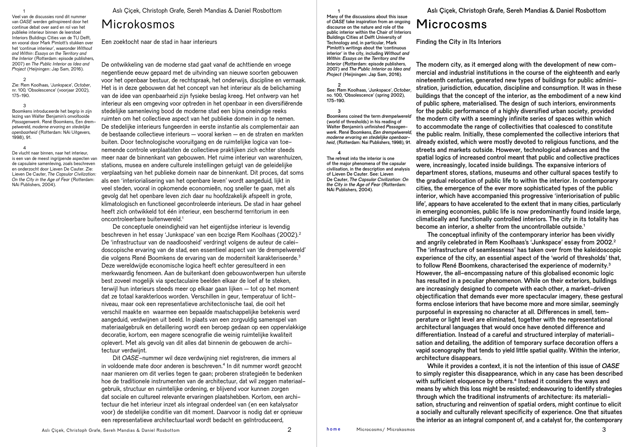Veel van de discussies rond dit nummer van *OASE* werden geïnspireerd door het continue debat over aard en rol van het publieke interieur binnen de leerstoel Interiors Buildings Cities van de TU Delft, en vooral door Mark Pimlott's stukken over het 'continue interieur', waaronder *Without and Within*: *Essays on the Territory and the Interior* (Rotterdam: episode publishers, 2007) en *The Public Interior as Idea and Project* (Heijningen: Jap Sam, 2016).

1

4

 $\mathfrak{2}$ Zie: Rem Koolhaas, 'Junkspace', *October*, nr. 100, 'Obsolescence' (voorjaar 2002), 175-190.

3 Boomkens introduceerde het begrip in zijn lezing van Walter Benjamin's onvoltooide *Passagenwerk*. René Boomkens, Een drempelwereld, *moderne ervaring en stedelijke openbaarheid* (Rotterdam: NAi Uitgevers, 1998), 91.

De vlucht naar binnen, naar het interieur, is een van de meest ingrijpende aspecten van de capsulaire samenleving, zoals beschreven en onderzocht door Lieven De Cauter. Zie: Lieven De Cauter, *The Capsular Civilization: On the City in the Age of Fear* (Rotterdam: NAi Publishers, 2004).

Aslı Çiçek, Christoph Grafe, Sereh Mandias & Daniel Rosbottom

## Microkosmos

Een zoektocht naar de stad in haar interieurs

De ontwikkeling van de moderne stad gaat vanaf de achttiende en vroege negentiende eeuw gepaard met de uitvinding van nieuwe soorten gebouwen voor het openbaar bestuur, de rechtspraak, het onderwijs, discipline en vermaak. Het is in deze gebouwen dat het concept van het interieur als de belichaming van de idee van openbaarheid zijn fysieke beslag kreeg. Het ontwerp van het interieur als een omgeving voor optreden in het openbaar in een diversifiërende stedelijke samenleving bood de moderne stad een bijna oneindige reeks ruimten om het collectieve aspect van het publieke domein in op te nemen. De stedelijke interieurs fungeerden in eerste instantie als complementair aan de bestaande collectieve interieurs – vooral kerken – en de straten en markten buiten. Door technologische vooruitgang en de ruimtelijke logica van toenemende controle verplaatsten de collectieve praktijken zich echter steeds meer naar de binnenkant van gebouwen. Het ruime interieur van warenhuizen, stations, musea en andere culturele instellingen getuigt van de geleidelijke verplaatsing van het publieke domein naar de binnenkant. Dit proces, dat soms als een 'interiorialisering van het openbare leven' wordt aangeduid, lijkt in veel steden, vooral in opkomende economieën, nog sneller te gaan, met als gevolg dat het openbare leven zich daar nu hoofdzakelijk afspeelt in grote, klimatologisch en functioneel gecontroleerde interieurs. De stad in haar geheel heeft zich ontwikkeld tot één interieur, een beschermd territorium in een oncontroleerbare buitenwereld.1

De conceptuele oneindigheid van het eigentijdse interieur is levendig beschreven in het essay 'Junkspace' van een bozige Rem Koolhaas (2002).2 De 'infrastructuur van de naadloosheid' verdringt volgens de auteur de caleidoscopische ervaring van de stad, een essentieel aspect van 'de drempelwereld' die volgens René Boomkens de ervaring van de moderniteit karakteriseerde.3 Deze wereldwijde economische logica heeft echter geresulteerd in een merkwaardig fenomeen. Aan de buitenkant doen gebouwontwerpen hun uiterste best zoveel mogelijk via spectaculaire beelden elkaar de loef af te steken, terwijl hun interieurs steeds meer op elkaar gaan lijken – tot op het moment dat ze totaal karakterloos worden. Verschillen in geur, temperatuur of lichtniveau, maar ook een representatieve architectonische taal, die ooit het verschil maakte en waarmee een bepaalde maatschappelijke betekenis werd aangeduid, verdwijnen uit beeld. In plaats van een zorgvuldig samenspel van materiaalgebruik en detaillering wordt een beroep gedaan op een oppervlakkige decoratie, kortom, een magere scenografie die weinig ruimtelijke kwaliteit oplevert. Met als gevolg van dit alles dat binnenin de gebouwen de architectuur verdwijnt.

Dit *OASE*-nummer wil deze verdwijning niet registreren, die immers al in voldoende mate door anderen is beschreven.4 In dit nummer wordt gezocht naar manieren om dit verlies tegen te gaan; proberen strategieën te bedenken hoe de traditionele instrumenten van de architectuur, dat wil zeggen materiaalgebruik, structuur en ruimtelijke ordening, er blijvend voor kunnen zorgen dat sociale en cultureel relevante ervaringen plaatshebben. Kortom, een architectuur die het interieur inzet als integraal onderdeel van (en een katalysator voor) de stedelijke conditie van dit moment. Daarvoor is nodig dat er opnieuw een representatieve architectuurtaal wordt bedacht en geïntroduceerd,

Aslı Çiçek, Christoph Grafe, Sereh Mandias & Daniel Rosbottom

## Microcosms

1

175-190. 3

Many of the discussions about this issue of *OASE* take inspiration from an ongoing discourse on the nature and role of the public interior within the Chair of Interiors Buildings Cities at Delft University of Technology and, in particular, Mark Pimlott's writings about the 'continuous interior' in the city, including *Without and Within: Essays on the Territory and the Interior* (Rotterdam: episode publishers, 2007) and *The Public Interior as Idea and Project* (Heijningen: Jap Sam, 2016).

2 See: Rem Koolhaas, 'Junkspace', *October*, no. 100, 'Obsolescence' (spring 2002),

Boomkens coined the term *drempelwereld*  (world of thresholds) in his reading of Walter Benjamin's unfinished *Passagenwerk*. René Boomkens, *Een drempelwereld, moderne ervaring en stedelijke openbaarheid*, (Rotterdam: Nai Publishers, 1998), 91.

4 The retreat into the interior is one of the major phenomena of the capsular civilisation, in the description and analysis of Lieven De Cauter. See: Lieven De Cauter, *The Capsular Civilization*: *On the City in the Age of Fear* (Rotterdam:

NAi Publishers, 2004).

Finding the City in Its Interiors

The modern city, as it emerged along with the development of new commercial and industrial institutions in the course of the eighteenth and early nineteenth centuries, generated new types of buildings for public administration, jurisdiction, education, discipline and consumption. It was in these buildings that the concept of the interior, as the embodiment of a new kind of public sphere, materialised. The design of such interiors, environments for the public performance of a highly diversified urban society, provided the modern city with a seemingly infinite series of spaces within which to accommodate the range of collectivities that coalesced to constitute the public realm. Initially, these complemented the collective interiors that already existed, which were mostly devoted to religious functions, and the streets and markets outside. However, technological advances and the spatial logics of increased control meant that public and collective practices were, increasingly, located inside buildings. The expansive interiors of department stores, stations, museums and other cultural spaces testify to the gradual relocation of public life to within the interior. In contemporary cities, the emergence of the ever more sophisticated types of the public interior, which have accompanied this progressive 'interiorisation of public life', appears to have accelerated to the extent that in many cities, particularly in emerging economies, public life is now predominantly found inside large, climatically and functionally controlled interiors. The city in its totality has become an interior, a shelter from the uncontrollable outside.<sup>1</sup>

The conceptual infinity of the contemporary interior has been vividly and angrily celebrated in Rem Koolhaas's 'Junkspace' essay from 2002.<sup>2</sup> The 'infrastructure of seamlessness' has taken over from the kaleidoscopic experience of the city, an essential aspect of the 'world of thresholds' that, to follow René Boomkens, characterised the experience of modernity.3 However, the all-encompassing nature of this globalised economic logic has resulted in a peculiar phenomenon. While on their exteriors, buildings are increasingly designed to compete with each other, a market-driven objectification that demands ever more spectacular imagery, these gestural forms enclose interiors that have become more and more similar, seemingly purposeful in expressing no character at all. Differences in smell, temperature or light level are eliminated, together with the representational architectural languages that would once have denoted difference and differentiation. Instead of a careful and structured interplay of materialisation and detailing, the addition of temporary surface decoration offers a vapid scenography that tends to yield little spatial quality. Within the interior, architecture disappears.

While it provides a context, it is not the intention of this issue of *OASE* to simply register this disappearance, which in any case has been described with sufficient eloquence by others.<sup>4</sup> Instead it considers the ways and means by which this loss might be resisted; endeavouring to identify strategies through which the traditional instruments of architecture: its materialisation, structuring and reinvention of spatial orders, might continue to elicit a socially and culturally relevant specificity of experience. One that situates the interior as an integral component of, and a catalyst for, the contemporary